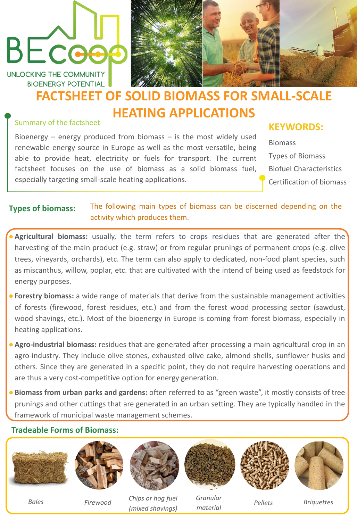## BECOO

UNLOCKING THE COMMUNITY **BIOENERGY POTENTIAL** 



#### Summary of the factsheet

Bioenergy – energy produced from biomass – is the most widely used renewable energy source in Europe as well as the most versatile, being able to provide heat, electricity or fuels for transport. The current factsheet focuses on the use of biomass as a solid biomass fuel, especially targeting small-scale heating applications.

#### **KEYWORDS:**

Biomass Types of Biomass Biofuel Characteristics Certification of biomass

- Agricultural biomass: usually, the term refers to crops residues that are generated after the harvesting of the main product (e.g. straw) or from regular prunings of permanent crops (e.g. olive trees, vineyards, orchards), etc. The term can also apply to dedicated, non-food plant species, such as miscanthus, willow, poplar, etc. that are cultivated with the intend of being used as feedstock for energy purposes.
- ●**Forestry biomass:** a wide range of materials that derive from the sustainable management activities of forests (firewood, forest residues, etc.) and from the forest wood processing sector (sawdust, wood shavings, etc.). Most of the bioenergy in Europe is coming from forest biomass, especially in heating applications.
- ●**Agro-industrial biomass:** residues that are generated after processing a main agricultural crop in an agro-industry. They include olive stones, exhausted olive cake, almond shells, sunflower husks and others. Since they are generated in a specific point, they do not require harvesting operations and are thus a very cost-competitive option for energy generation.
- ●**Biomass from urban parks and gardens:** often referred to as "green waste", it mostly consists of tree prunings and other cuttings that are generated in an urban setting. They are typically handled in the

framework of municipal waste management schemes.

#### **Tradeable Forms of Biomass:**



#### **Types of biomass:** The following main types of biomass can be discerned depending on the activity which produces them.

### **FACTSHEET OF SOLID BIOMASS FOR SMALL-SCALE HEATING APPLICATIONS**